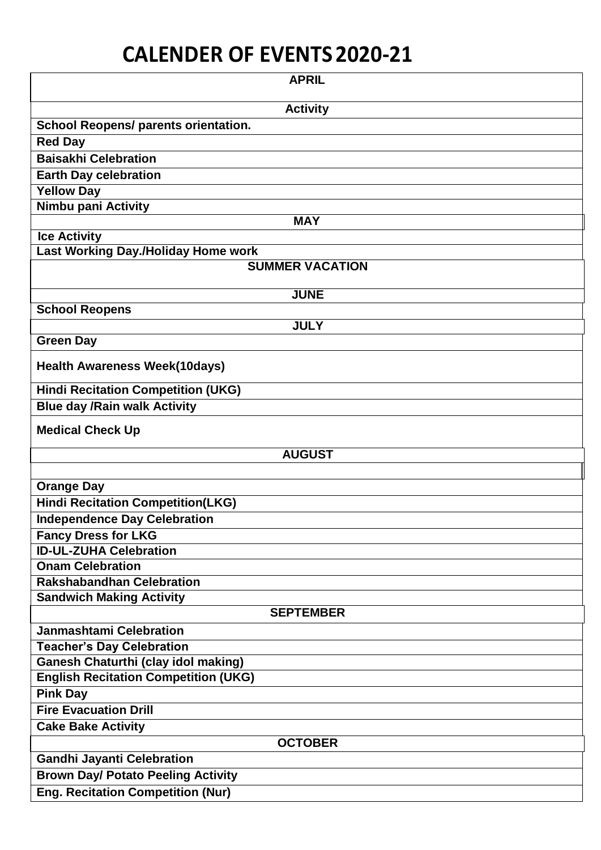## **CALENDER OF EVENTS2020-21**

| <b>APRIL</b>                                |
|---------------------------------------------|
| <b>Activity</b>                             |
| <b>School Reopens/ parents orientation.</b> |
| <b>Red Day</b>                              |
| <b>Baisakhi Celebration</b>                 |
| <b>Earth Day celebration</b>                |
| <b>Yellow Day</b>                           |
| Nimbu pani Activity                         |
| <b>MAY</b>                                  |
| <b>Ice Activity</b>                         |
| Last Working Day./Holiday Home work         |
| <b>SUMMER VACATION</b>                      |
| <b>JUNE</b>                                 |
| <b>School Reopens</b>                       |
| <b>JULY</b>                                 |
| <b>Green Day</b>                            |
| <b>Health Awareness Week(10days)</b>        |
| <b>Hindi Recitation Competition (UKG)</b>   |
| <b>Blue day /Rain walk Activity</b>         |
| <b>Medical Check Up</b>                     |
| <b>AUGUST</b>                               |
|                                             |
| <b>Orange Day</b>                           |
| <b>Hindi Recitation Competition(LKG)</b>    |
| <b>Independence Day Celebration</b>         |
| <b>Fancy Dress for LKG</b>                  |
| <b>ID-UL-ZUHA Celebration</b>               |
| <b>Onam Celebration</b>                     |
| <b>Rakshabandhan Celebration</b>            |
| <b>Sandwich Making Activity</b>             |
| <b>SEPTEMBER</b>                            |
| <b>Janmashtami Celebration</b>              |
| <b>Teacher's Day Celebration</b>            |
| <b>Ganesh Chaturthi (clay idol making)</b>  |
| <b>English Recitation Competition (UKG)</b> |
| <b>Pink Day</b>                             |
| <b>Fire Evacuation Drill</b>                |
| <b>Cake Bake Activity</b>                   |
| <b>OCTOBER</b>                              |
| <b>Gandhi Jayanti Celebration</b>           |
| <b>Brown Day/ Potato Peeling Activity</b>   |
| <b>Eng. Recitation Competition (Nur)</b>    |